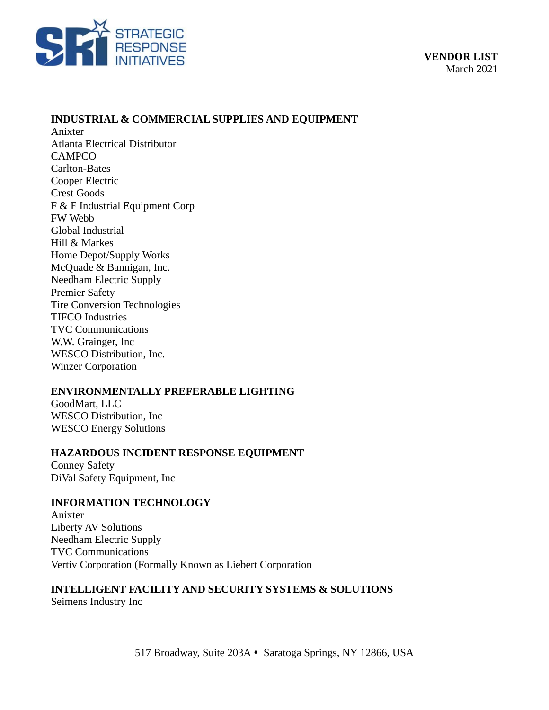

## **INDUSTRIAL & COMMERCIAL SUPPLIES AND EQUIPMENT**

Anixter Atlanta Electrical Distributor CAMPCO Carlton-Bates Cooper Electric Crest Goods F & F Industrial Equipment Corp FW Webb Global Industrial Hill & Markes Home Depot/Supply Works McQuade & Bannigan, Inc. Needham Electric Supply Premier Safety Tire Conversion Technologies TIFCO Industries TVC Communications W.W. Grainger, Inc WESCO Distribution, Inc. Winzer Corporation

#### **ENVIRONMENTALLY PREFERABLE LIGHTING**

GoodMart, LLC WESCO Distribution, Inc WESCO Energy Solutions

#### **HAZARDOUS INCIDENT RESPONSE EQUIPMENT**

Conney Safety DiVal Safety Equipment, Inc

#### **INFORMATION TECHNOLOGY**

Anixter Liberty AV Solutions Needham Electric Supply TVC Communications Vertiv Corporation (Formally Known as Liebert Corporation

# **INTELLIGENT FACILITY AND SECURITY SYSTEMS & SOLUTIONS**

Seimens Industry Inc